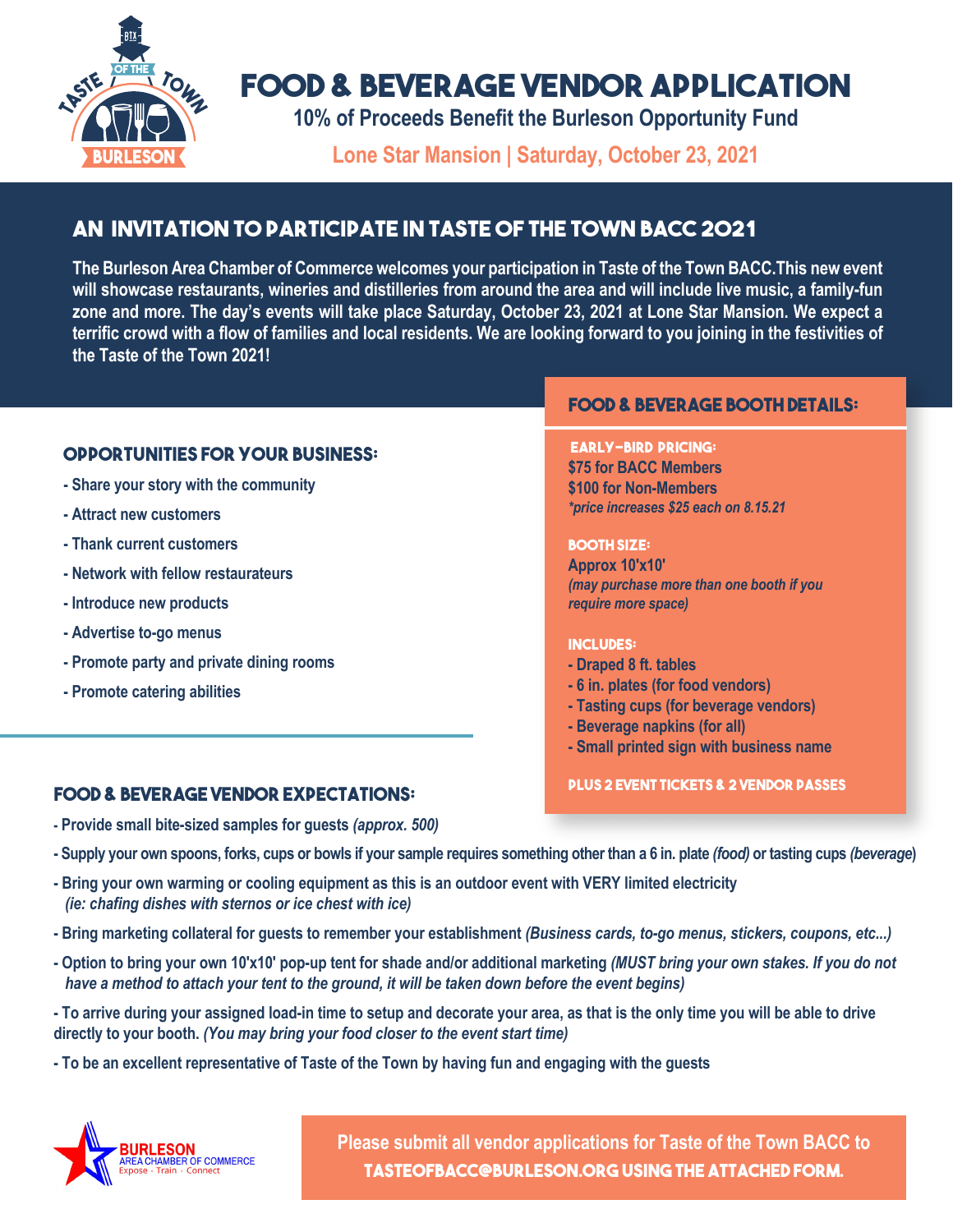

# **FOOD & BEVERAGE VENDOR APPLICATION**

**10% of Proceeds Benefit the Burleson Opportunity Fund**

**Lone Star Mansion | Saturday, October 23, 2021**

## **AN INVITATION TO PARTICIPATE IN TASTE OF THE TOWN BACC 2021**

**The Burleson Area Chamber of Commerce welcomes your participation in Taste of the Town BACC.This new event will showcase restaurants, wineries and distilleries from around the area and will include live music, a family-fun zone and more. The day's events will take place Saturday, October 23, 2021 at Lone Star Mansion. We expect a terrific crowd with a flow of families and local residents. We are looking forward to you joining in the festivities of the Taste of the Town 2021!**

### **OPPORTUNITIES FOR YOUR BUSINESS:**

- **Share your story with the community**
- **Attract new customers**
- **Thank current customers**
- **Network with fellow restaurateurs**
- **Introduce new products**
- **Advertise to-go menus**
- **Promote party and private dining rooms**
- **Promote catering abilities**

## **PLUS 2 EVER AGE VENDOR EXPECTATIONS:** PLUS 2 EVENT TICKETS & 2 VENDOR PASSES

- **Provide small bite-sized samples for guests** *(approx. 500)*
- **Supply your own spoons, forks, cups or bowls if your sample requires something other than a 6 in. plate** *(food)* **or tasting cups** *(beverage***)**
- **Bring your own warming or cooling equipment as this is an outdoor event with VERY limited electricity**   *(ie: chafing dishes with sternos or ice chest with ice)*
- **Bring marketing collateral for guests to remember your establishment** *(Business cards, to-go menus, stickers, coupons, etc...)*
- **Option to bring your own 10'x10' pop-up tent for shade and/or additional marketing** *(MUST bring your own stakes. If you do not have a method to attach your tent to the ground, it will be taken down before the event begins)*
- **To arrive during your assigned load-in time to setup and decorate your area, as that is the only time you will be able to drive directly to your booth.** *(You may bring your food closer to the event start time)*
- **To be an excellent representative of Taste of the Town by having fun and engaging with the guests**



**Please submit all vendor applications for Taste of the Town BACC to TASTEOFBACC@BURLESON.ORG USING THE ATTACHED FORM.** 

### **FOOD & BEVERAGE BOOTH DETAILS:**

#### **EARLY-BIRD PRICING:**

**\$75 for BACC Members \$100 for Non-Members**  *\*price increases \$25 each on 8.15.21*

#### **BOOTH SIZE:**

**Approx 10'x10'**  *(may purchase more than one booth if you require more space)*

#### **INCLUDES:**

- **Draped 8 ft. tables**
- **6 in. plates (for food vendors)**
- **Tasting cups (for beverage vendors)**
- **Beverage napkins (for all)**
- **Small printed sign with business name**